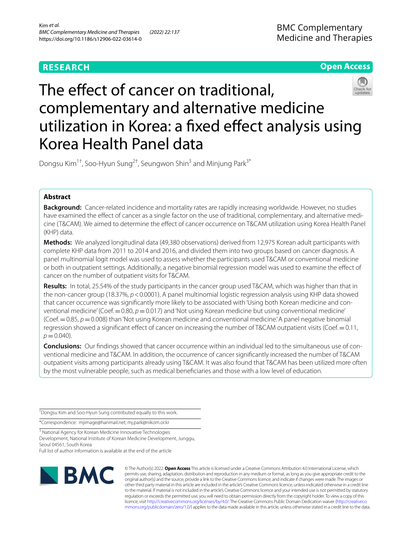# **RESEARCH**

**Open Access**

# The effect of cancer on traditional, complementary and alternative medicine utilization in Korea: a fxed efect analysis using Korea Health Panel data

Dongsu Kim<sup>1†</sup>, Soo-Hyun Sung<sup>2†</sup>, Seungwon Shin<sup>3</sup> and Minjung Park<sup>3\*</sup>

# **Abstract**

**Background:** Cancer-related incidence and mortality rates are rapidly increasing worldwide. However, no studies have examined the effect of cancer as a single factor on the use of traditional, complementary, and alternative medicine (T&CAM). We aimed to determine the efect of cancer occurrence on T&CAM utilization using Korea Health Panel (KHP) data.

**Methods:** We analyzed longitudinal data (49,380 observations) derived from 12,975 Korean adult participants with complete KHP data from 2011 to 2014 and 2016, and divided them into two groups based on cancer diagnosis. A panel multinomial logit model was used to assess whether the participants used T&CAM or conventional medicine or both in outpatient settings. Additionally, a negative binomial regression model was used to examine the efect of cancer on the number of outpatient visits for T&CAM.

**Results:** In total, 25.54% of the study participants in the cancer group used T&CAM, which was higher than that in the non-cancer group (18.37%, *p*<0.0001). A panel multinomial logistic regression analysis using KHP data showed that cancer occurrence was significantly more likely to be associated with 'Using both Korean medicine and conventional medicine' (Coef. $=0.80$ ,  $p=0.017$ ) and 'Not using Korean medicine but using conventional medicine' (Coef.=0.85, *p*=0.008) than 'Not using Korean medicine and conventional medicine.' A panel negative binomial regression showed a signifcant efect of cancer on increasing the number of T&CAM outpatient visits (Coef.=0.11,  $p = 0.040$ ).

**Conclusions:** Our findings showed that cancer occurrence within an individual led to the simultaneous use of conventional medicine and T&CAM. In addition, the occurrence of cancer signifcantly increased the number of T&CAM outpatient visits among participants already using T&CAM. It was also found that T&CAM has been utilized more often by the most vulnerable people, such as medical benefciaries and those with a low level of education.

† Dongsu Kim and Soo-Hyun Sung contributed equally to this work.

\*Correspondence: mjimage@hanmail.net; mj.park@nikom.or.kr

<sup>3</sup> National Agency for Korean Medicine Innovative Technologies Development, National Institute of Korean Medicine Development, Junggu, Seoul 04561, South Korea

Full list of author information is available at the end of the article



© The Author(s) 2022. **Open Access** This article is licensed under a Creative Commons Attribution 4.0 International License, which permits use, sharing, adaptation, distribution and reproduction in any medium or format, as long as you give appropriate credit to the original author(s) and the source, provide a link to the Creative Commons licence, and indicate if changes were made. The images or other third party material in this article are included in the article's Creative Commons licence, unless indicated otherwise in a credit line to the material. If material is not included in the article's Creative Commons licence and your intended use is not permitted by statutory regulation or exceeds the permitted use, you will need to obtain permission directly from the copyright holder. To view a copy of this licence, visit [http://creativecommons.org/licenses/by/4.0/.](http://creativecommons.org/licenses/by/4.0/) The Creative Commons Public Domain Dedication waiver ([http://creativeco](http://creativecommons.org/publicdomain/zero/1.0/) [mmons.org/publicdomain/zero/1.0/](http://creativecommons.org/publicdomain/zero/1.0/)) applies to the data made available in this article, unless otherwise stated in a credit line to the data.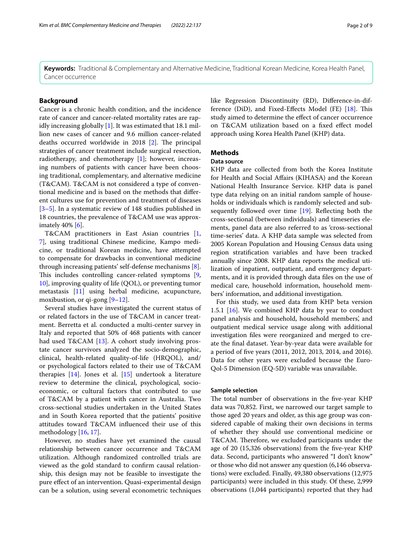**Keywords:** Traditional & Complementary and Alternative Medicine, Traditional Korean Medicine, Korea Health Panel, Cancer occurrence

# **Background**

Cancer is a chronic health condition, and the incidence rate of cancer and cancer-related mortality rates are rapidly increasing globally [\[1](#page-7-0)]. It was estimated that 18.1 million new cases of cancer and 9.6 million cancer-related deaths occurred worldwide in  $2018$  [\[2](#page-7-1)]. The principal strategies of cancer treatment include surgical resection, radiotherapy, and chemotherapy [[1](#page-7-0)]; however, increasing numbers of patients with cancer have been choosing traditional, complementary, and alternative medicine (T&CAM). T&CAM is not considered a type of conventional medicine and is based on the methods that diferent cultures use for prevention and treatment of diseases [[3–](#page-7-2)[5\]](#page-7-3). In a systematic review of 148 studies published in 18 countries, the prevalence of T&CAM use was approximately 40% [\[6\]](#page-7-4).

T&CAM practitioners in East Asian countries [\[1](#page-7-0), [7\]](#page-8-0), using traditional Chinese medicine, Kampo medicine, or traditional Korean medicine, have attempted to compensate for drawbacks in conventional medicine through increasing patients' self-defense mechanisms [\[8](#page-8-1)]. This includes controlling cancer-related symptoms [\[9](#page-8-2), [10\]](#page-8-3), improving quality of life (QOL), or preventing tumor metastasis [\[11](#page-8-4)] using herbal medicine, acupuncture, moxibustion, or qi-gong [[9–](#page-8-2)[12\]](#page-8-5).

Several studies have investigated the current status of or related factors in the use of T&CAM in cancer treatment. Berretta et al. conducted a multi-center survey in Italy and reported that 50% of 468 patients with cancer had used T&CAM [[13\]](#page-8-6). A cohort study involving prostate cancer survivors analyzed the socio-demographic, clinical, health-related quality-of-life (HRQOL), and/ or psychological factors related to their use of T&CAM therapies [\[14\]](#page-8-7). Jones et al. [\[15](#page-8-8)] undertook a literature review to determine the clinical, psychological, socioeconomic, or cultural factors that contributed to use of T&CAM by a patient with cancer in Australia. Two cross-sectional studies undertaken in the United States and in South Korea reported that the patients' positive attitudes toward T&CAM infuenced their use of this methodology [\[16](#page-8-9), [17\]](#page-8-10).

However, no studies have yet examined the causal relationship between cancer occurrence and T&CAM utilization. Although randomized controlled trials are viewed as the gold standard to confrm causal relationship, this design may not be feasible to investigate the pure efect of an intervention. Quasi-experimental design can be a solution, using several econometric techniques like Regression Discontinuity (RD), Diference-in-dif-ference (DiD), and Fixed-Effects Model (FE) [[18](#page-8-11)]. This study aimed to determine the efect of cancer occurrence on T&CAM utilization based on a fxed efect model approach using Korea Health Panel (KHP) data.

# **Methods**

## **Data source**

KHP data are collected from both the Korea Institute for Health and Social Afairs (KIHASA) and the Korean National Health Insurance Service. KHP data is panel type data relying on an initial random sample of households or individuals which is randomly selected and subsequently followed over time [[19](#page-8-12)]. Refecting both the cross-sectional (between individuals) and timeseries elements, panel data are also referred to as 'cross-sectional time-series' data. A KHP data sample was selected from 2005 Korean Population and Housing Census data using region stratifcation variables and have been tracked annually since 2008. KHP data reports the medical utilization of inpatient, outpatient, and emergency departments, and it is provided through data fles on the use of medical care, household information, household members' information, and additional investigation.

For this study, we used data from KHP beta version 1.5.1 [\[16\]](#page-8-9). We combined KHP data by year to conduct panel analysis and household, household members', and outpatient medical service usage along with additional investigation fles were reorganized and merged to create the fnal dataset. Year-by-year data were available for a period of fve years (2011, 2012, 2013, 2014, and 2016). Data for other years were excluded because the Euro-Qol-5 Dimension (EQ-5D) variable was unavailable.

## **Sample selection**

The total number of observations in the five-year KHP data was 70,852. First, we narrowed our target sample to those aged 20 years and older, as this age group was considered capable of making their own decisions in terms of whether they should use conventional medicine or T&CAM. Therefore, we excluded participants under the age of 20 (15,326 observations) from the fve-year KHP data. Second, participants who answered "I don't know" or those who did not answer any question (6,146 observations) were excluded. Finally, 49,380 observations (12,975 participants) were included in this study. Of these, 2,999 observations (1,044 participants) reported that they had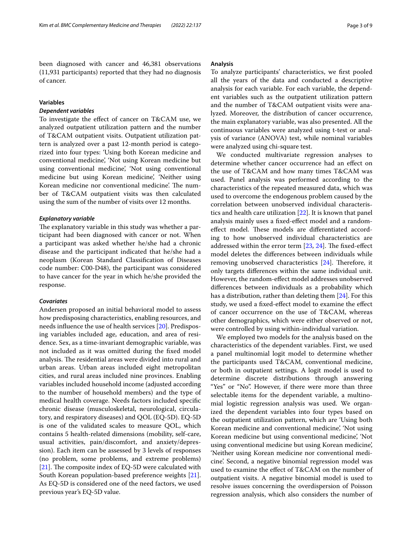been diagnosed with cancer and 46,381 observations (11,931 participants) reported that they had no diagnosis of cancer.

# **Variables**

# *Dependent variables*

To investigate the efect of cancer on T&CAM use, we analyzed outpatient utilization pattern and the number of T&CAM outpatient visits. Outpatient utilization pattern is analyzed over a past 12-month period is categorized into four types: 'Using both Korean medicine and conventional medicine', 'Not using Korean medicine but using conventional medicine', 'Not using conventional medicine but using Korean medicine', 'Neither using Korean medicine nor conventional medicine'. The number of T&CAM outpatient visits was then calculated using the sum of the number of visits over 12 months.

## *Explanatory variable*

The explanatory variable in this study was whether a participant had been diagnosed with cancer or not. When a participant was asked whether he/she had a chronic disease and the participant indicated that he/she had a neoplasm (Korean Standard Classifcation of Diseases code number: C00-D48), the participant was considered to have cancer for the year in which he/she provided the response.

## *Covariates*

Andersen proposed an initial behavioral model to assess how predisposing characteristics, enabling resources, and needs infuence the use of health services [\[20](#page-8-13)]. Predisposing variables included age, education, and area of residence. Sex, as a time-invariant demographic variable, was not included as it was omitted during the fxed model analysis. The residential areas were divided into rural and urban areas. Urban areas included eight metropolitan cities, and rural areas included nine provinces. Enabling variables included household income (adjusted according to the number of household members) and the type of medical health coverage. Needs factors included specifc chronic disease (musculoskeletal, neurological, circulatory, and respiratory diseases) and QOL (EQ-5D). EQ-5D is one of the validated scales to measure QOL, which contains 5 health-related dimensions (mobility, self-care, usual activities, pain/discomfort, and anxiety/depression). Each item can be assessed by 3 levels of responses (no problem, some problems, and extreme problems) [[21\]](#page-8-14). The composite index of EQ-5D were calculated with South Korean population-based preference weights [\[21](#page-8-14)]. As EQ-5D is considered one of the need factors, we used previous year's EQ-5D value.

## **Analysis**

To analyze participants' characteristics, we frst pooled all the years of the data and conducted a descriptive analysis for each variable. For each variable, the dependent variables such as the outpatient utilization pattern and the number of T&CAM outpatient visits were analyzed. Moreover, the distribution of cancer occurrence, the main explanatory variable, was also presented. All the continuous variables were analyzed using t-test or analysis of variance (ANOVA) test, while nominal variables were analyzed using chi-square test.

We conducted multivariate regression analyses to determine whether cancer occurrence had an efect on the use of T&CAM and how many times T&CAM was used. Panel analysis was performed according to the characteristics of the repeated measured data, which was used to overcome the endogenous problem caused by the correlation between unobserved individual characteristics and health care utilization [[22\]](#page-8-15). It is known that panel analysis mainly uses a fxed-efect model and a randomeffect model. These models are differentiated according to how unobserved individual characteristics are addressed within the error term  $[23, 24]$  $[23, 24]$  $[23, 24]$  $[23, 24]$  $[23, 24]$ . The fixed-effect model deletes the diferences between individuals while removing unobserved characteristics  $[24]$  $[24]$ . Therefore, it only targets diferences within the same individual unit. However, the random-efect model addresses unobserved diferences between individuals as a probability which has a distribution, rather than deleting them [\[24\]](#page-8-17). For this study, we used a fxed-efect model to examine the efect of cancer occurrence on the use of T&CAM, whereas other demographics, which were either observed or not, were controlled by using within-individual variation.

We employed two models for the analysis based on the characteristics of the dependent variables. First, we used a panel multinomial logit model to determine whether the participants used T&CAM, conventional medicine, or both in outpatient settings. A logit model is used to determine discrete distributions through answering "Yes" or "No". However, if there were more than three selectable items for the dependent variable, a multinomial logistic regression analysis was used. We organized the dependent variables into four types based on the outpatient utilization pattern, which are 'Using both Korean medicine and conventional medicine', 'Not using Korean medicine but using conventional medicine', 'Not using conventional medicine but using Korean medicine', 'Neither using Korean medicine nor conventional medicine'. Second, a negative binomial regression model was used to examine the efect of T&CAM on the number of outpatient visits. A negative binomial model is used to resolve issues concerning the overdispersion of Poisson regression analysis, which also considers the number of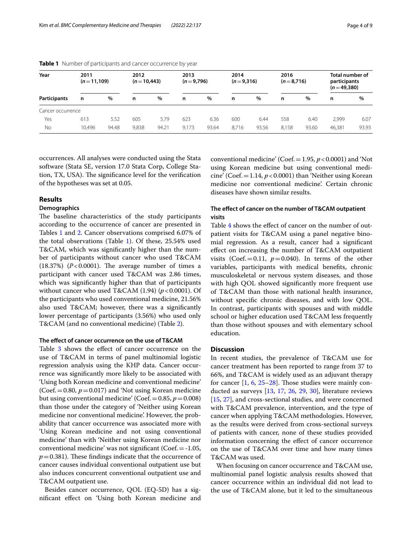| Year              | 2011<br>$(n=11,109)$ |       | 2012<br>$(n=10,443)$ |       | 2013<br>$(n=9,796)$ |       | 2014<br>$(n=9,316)$ |       | 2016<br>$(n=8,716)$ |               | Total number of<br>participants<br>$(n=49,380)$ |       |
|-------------------|----------------------|-------|----------------------|-------|---------------------|-------|---------------------|-------|---------------------|---------------|-------------------------------------------------|-------|
| Participants      | n                    | %     | n                    | %     | n                   | $\%$  | n                   | %     | n                   | $\frac{0}{0}$ | n                                               | %     |
| Cancer occurrence |                      |       |                      |       |                     |       |                     |       |                     |               |                                                 |       |
| Yes               | 613                  | 5.52  | 605                  | 5.79  | 623                 | 6.36  | 600                 | 6.44  | 558                 | 6.40          | 2,999                                           | 6.07  |
| No                | 10.496               | 94.48 | 9,838                | 94.21 | 9,173               | 93.64 | 8.716               | 93.56 | 8,158               | 93.60         | 46,381                                          | 93.93 |

<span id="page-3-0"></span>**Table 1** Number of participants and cancer occurrence by year

occurrences. All analyses were conducted using the Stata software (Stata SE, version 17.0 Stata Corp, College Station, TX, USA). The significance level for the verification of the hypotheses was set at 0.05.

# **Results**

# **Demographics**

The baseline characteristics of the study participants according to the occurrence of cancer are presented in Tables [1](#page-3-0) and [2.](#page-4-0) Cancer observations comprised 6.07% of the total observations (Table [1\)](#page-3-0). Of these, 25.54% used T&CAM, which was signifcantly higher than the number of participants without cancer who used T&CAM (18.37%)  $(P<0.0001)$ . The average number of times a participant with cancer used T&CAM was 2.86 times, which was signifcantly higher than that of participants without cancer who used T&CAM (1.94) ( $p < 0.0001$ ). Of the participants who used conventional medicine, 21.56% also used T&CAM; however, there was a signifcantly lower percentage of participants (3.56%) who used only T&CAM (and no conventional medicine) (Table [2\)](#page-4-0).

## **The efect of cancer occurrence on the use of T&CAM**

Table [3](#page-5-0) shows the effect of cancer occurrence on the use of T&CAM in terms of panel multinomial logistic regression analysis using the KHP data. Cancer occurrence was signifcantly more likely to be associated with 'Using both Korean medicine and conventional medicine' (Coef. $=0.80$ ,  $p=0.017$ ) and 'Not using Korean medicine but using conventional medicine' (Coef.  $=0.85, p=0.008$ ) than those under the category of 'Neither using Korean medicine nor conventional medicine'. However, the probability that cancer occurrence was associated more with 'Using Korean medicine and not using conventional medicine' than with 'Neither using Korean medicine nor conventional medicine' was not signifcant (Coef.=-1.05,  $p=0.381$ ). These findings indicate that the occurrence of cancer causes individual conventional outpatient use but also induces concurrent conventional outpatient use and T&CAM outpatient use.

Besides cancer occurrence, QOL (EQ-5D) has a signifcant efect on 'Using both Korean medicine and conventional medicine' (Coef.  $=1.95$ ,  $p < 0.0001$ ) and 'Not using Korean medicine but using conventional medicine' (Coef. $=1.14$ ,  $p < 0.0001$ ) than 'Neither using Korean medicine nor conventional medicine'. Certain chronic diseases have shown similar results.

# **The efect of cancer on the number of T&CAM outpatient visits**

Table [4](#page-6-0) shows the effect of cancer on the number of outpatient visits for T&CAM using a panel negative binomial regression. As a result, cancer had a signifcant efect on increasing the number of T&CAM outpatient visits (Coef.  $= 0.11$ ,  $p = 0.040$ ). In terms of the other variables, participants with medical benefts, chronic musculoskeletal or nervous system diseases, and those with high QOL showed signifcantly more frequent use of T&CAM than those with national health insurance, without specifc chronic diseases, and with low QOL. In contrast, participants with spouses and with middle school or higher education used T&CAM less frequently than those without spouses and with elementary school education.

## **Discussion**

In recent studies, the prevalence of T&CAM use for cancer treatment has been reported to range from 37 to 66%, and T&CAM is widely used as an adjuvant therapy for cancer  $[1, 6, 25-28]$  $[1, 6, 25-28]$  $[1, 6, 25-28]$  $[1, 6, 25-28]$  $[1, 6, 25-28]$  $[1, 6, 25-28]$  $[1, 6, 25-28]$ . Those studies were mainly conducted as surveys [[13](#page-8-6), [17,](#page-8-10) [26,](#page-8-20) [29](#page-8-21), [30\]](#page-8-22), literature reviews [[15,](#page-8-8) [27](#page-8-23)], and cross-sectional studies, and were concerned with T&CAM prevalence, intervention, and the type of cancer when applying T&CAM methodologies. However, as the results were derived from cross-sectional surveys of patients with cancer, none of these studies provided information concerning the efect of cancer occurrence on the use of T&CAM over time and how many times T&CAM was used.

When focusing on cancer occurrence and T&CAM use, multinomial panel logistic analysis results showed that cancer occurrence within an individual did not lead to the use of T&CAM alone, but it led to the simultaneous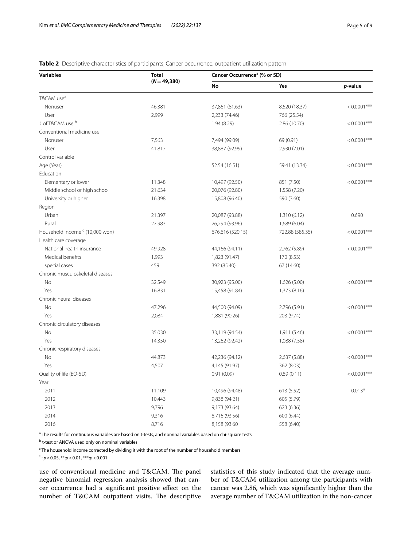# **Variables Total (***N*=**49,380) Cancer Occurrencea (% or SD) No Yes** *p***-value** T&CAM use<sup>a</sup> Nonuser 46,381 37,861 (81.63) 8,520 (18.37) <0.0001\*\*\* User 2,999 2,233 (74.46) 766 (25.54) # of T&CAM use <sup>b</sup>  $1.94 (8.29)$   $2.86 (10.70)$   $< 0.0001***$ Conventional medicine use Nonuser 7,563 7,494 (99.09) 69 (0.91) <0.0001\*\*\* User 41,817 38,887 (92.99) 2,930 (7.01) Control variable Age (Year) 52.54 (16.51) 59.41 (13.34) < 0.0001\*\*\* Education Elementary or lower and the contract of the 11,348 10,497 (92.50) 851 (7.50) (851 (7.50) (80.0001\*\*\* Middle school or high school 21,634 20,076 (92.80) 1,558 (7.20) University or higher 16,398 16,398 15,808 (96.40) 590 (3.60) Region Urban 20,087 (93.88) 1,310 (6.12) 20,087 (93.88) 20,087 (93.88) 1,310 (6.12) Rural 27,983 26,294 (93.96) 26,294 (93.96) 26,294 (93.96) Household income  $c$  (10,000 won)  $(520.15)$  722.88 (585.35)  $< 0.0001***$ Health care coverage National health insurance  $49,928$   $44,166 (94.11)$   $2,762 (5.89)$   $< 0.0001***$ Medical benefits 1,993 1,823 (91.47) 170 (8.53) special cases 67 (14.60) 459 459 592 (85.40) 67 (14.60) Chronic musculoskeletal diseases No 32,549 30,923 (95.00) 1,626 (5.00) <0.0001\*\*\* Yes 16,831 15,458 (91.84) 1,373 (8.16) Chronic neural diseases No 47,296 44,500 (94.09) 2,796 (5.91) <0.0001\*\*\* Yes 2,084 1,881 (90.26) 203 (9.74) Chronic circulatory diseases No 35,030 35,030 33,119 (94.54) 33,119 (94.54) 33,119 (94.54) 33,119 (94.54) 33,119 (94.54) Yes 14,350 13,262 (92.42) 1,088 (7.58) Chronic respiratory diseases No and the state of the 44,873 42,236 (94.12) 44,873 42,236 (94.12) 44,873 42,236 (94.12) 44,873 46.00001\*\*\* Yes 4,507 4,145 (91.97) 362 (8.03) Quality of life (EQ-5D) 0.91 (0.09) 0.89 (0.11) <0.0001\*\*\* Year 2011 11,109 10,496 (94.48) 613 (5.52) 0.013\* 2012 10,443 9,838 (94.21) 605 (5.79) 2013 9,796 9,173 (93.64) 623 (6.36) 2014 **9,316** 9,316 8,716 (93.56) 600 (6.44) 2016 8,716 8,158 (93.60 558 (6.40)

## <span id="page-4-0"></span>**Table 2** Descriptive characteristics of participants, Cancer occurrence, outpatient utilization pattern

<sup>a</sup> The results for continuous variables are based on t-tests, and nominal variables based on chi-square tests

<sup>b</sup> t-test or ANOVA used only on nominal variables

<sup>c</sup> The household income corrected by dividing it with the root of the number of household members

\* : *p*<0.05, \*\*:*p*<0.01, \*\*\*:*p*<0.001

use of conventional medicine and T&CAM. The panel negative binomial regression analysis showed that cancer occurrence had a signifcant positive efect on the number of T&CAM outpatient visits. The descriptive statistics of this study indicated that the average number of T&CAM utilization among the participants with cancer was 2.86, which was signifcantly higher than the average number of T&CAM utilization in the non-cancer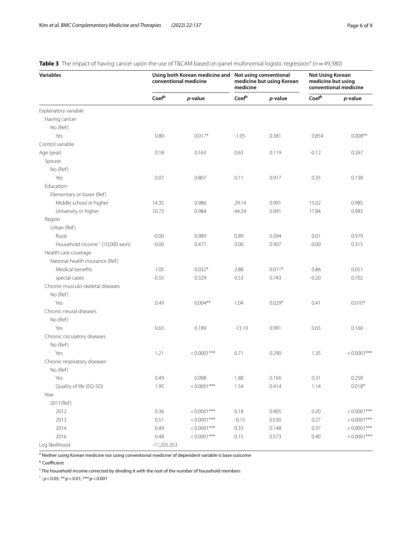# **Variables Using both Korean medicine and Not using conventional conventional medicine medicine but using Korean medicine Not Using Korean medicine but using conventional medicine Coef<sup>b</sup>** *p***-value Coef<sup>b</sup>** *p***-value Coef<sup>b</sup>** *p***-value** Explanatory variable Having cancer No (Ref) Yes 0.80 0.017\* -1.05 0.381 0.854 0.008\*\* Control variable Age (year) 0.18 0.163 0.63 0.119 -0.12 0.267 Spouse No (Ref) Yes 0.07 0.807 0.11 0.917 0.35 0.138 Education Elementary or lower (Ref) Middle school or higher 14.35 0.986 29.14 0.991 15.02 0.985 University or higher **16.73** 0.984 44.24 0.991 17.84 0.983 Region Urban (Ref) Rural -0.00 0.989 0.89 0.394 0.01 0.979 Household income <sup>c</sup> (10,000 won) -0.00 0.477 0.00 0.907 -0.00 0.315 Health care coverage National health insurance (Ref) Medical benefits  $1.05$   $0.032*$   $2.88$   $0.011*$   $0.86$  0.051 special cases -0.55 0.329 0.53 0.743 -0.20 0.702 Chronic musculo-skeletal diseases No (Ref) Yes 0.49 0.004\*\* 1.04 0.029\* 0.41 0.010\* Chronic neural diseases No (Ref) Yes 0.63 0.189 -13.19 0.991 0.65 0.160 Chronic circulatory diseases No (Ref) Yes 1.21 <0.0001\*\*\* 0.71 0.290 1.35 <0.0001\*\*\* Chronic respiratory diseases No (Ref ) Yes 0.49 0.098 1.88 0.156 0.31 0.258 Quality of life (EQ-5D) 1.95 <0.0001\*\*\* 1.54 0.414 1.14 0.018\* Year 2011(Ref) 2012 0.36 <0.0001\*\*\* 0.18 0.405 0.20 <0.0001\*\*\* 2013 0.51 <0.0001\*\*\* -0.15 0.530 0.27 <0.0001\*\*\* 2014 0.49 <0.0001\*\*\* 0.33 0.148 0.37 <0.0001\*\*\* 2016 0.48 <0.0001\*\*\* 0.15 0.573 0.40 <0.0001\*\*\* Log likelihood -11,205.353

# <span id="page-5-0"></span>**Table 3** The impact of having cancer upon the use of T&CAM based on panel multinomial logistic regression<sup>a</sup> (n=49,380)

<sup>a</sup> Neither using Korean medicine nor using conventional medicine' of dependent variable is base outcome

<sup>b</sup> Coefficient

<sup>c</sup> The household income corrected by dividing it with the root of the number of household members

\* : *p*<0.05, \*\*:*p*<0.01, \*\*\*:*p*<0.001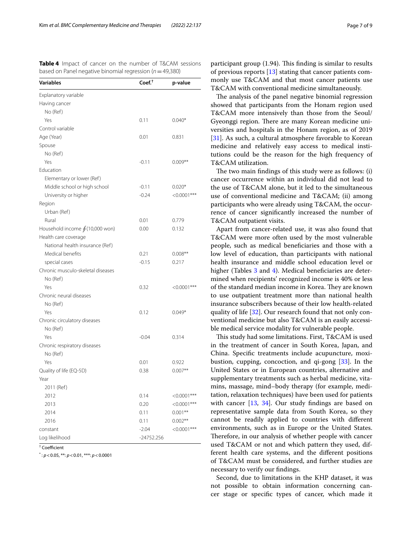| Variables                             | $Coef+$    | p-value        |
|---------------------------------------|------------|----------------|
| Explanatory variable                  |            |                |
| Having cancer                         |            |                |
| No (Ref)                              |            |                |
| Yes                                   | 0.11       | $0.040*$       |
| Control variable                      |            |                |
| Age (Year)                            | 0.01       | 0.831          |
| Spouse                                |            |                |
| No (Ref)                              |            |                |
| Yes                                   | $-0.11$    | $0.009**$      |
| Education                             |            |                |
| Elementary or lower (Ref)             |            |                |
| Middle school or high school          | $-0.11$    | $0.020*$       |
| University or higher                  | $-0.24$    | $<0.0001***$   |
| Region                                |            |                |
| Urban (Ref)                           |            |                |
| Rural                                 | 0.01       | 0.779          |
| Household income $\oint$ (10,000 won) | 0.00       | 0.132          |
| Health care coverage                  |            |                |
| National health insurance (Ref)       |            |                |
| Medical benefits                      | 0.21       | $0.008**$      |
| special cases                         | $-0.15$    | 0.217          |
| Chronic musculo-skeletal diseases     |            |                |
| No (Ref)                              |            |                |
| Yes                                   | 0.32       | $<0.0001***$   |
| Chronic neural diseases               |            |                |
| No (Ref)                              |            |                |
| Yes                                   | 0.12       | $0.049*$       |
| Chronic circulatory diseases          |            |                |
| No (Ref)                              |            |                |
| Yes                                   | $-0.04$    | 0.314          |
| Chronic respiratory diseases          |            |                |
| No (Ref)                              |            |                |
| Yes                                   | 0.01       | 0.922          |
| Quality of life (EQ-5D)               | 0.38       | $0.007**$      |
| Year                                  |            |                |
| 2011 (Ref)                            |            |                |
| 2012                                  | 0.14       | $< 0.0001$ *** |
| 2013                                  | 0.20       | $< 0.0001$ *** |
| 2014                                  | 0.11       | $0.001**$      |
| 2016                                  | 0.11       | $0.002**$      |
| constant                              | $-2.04$    | $< 0.0001$ *** |
| Log likelihood                        | -24752.256 |                |

<span id="page-6-0"></span>**Table 4** Impact of cancer on the number of T&CAM sessions based on Panel negative binomial regression (*n*=49,380)

 $^\dagger$  Coefficient

\* : *p*<0.05, \*\*: *p*<0.01, \*\*\*: *p*<0.0001

participant group  $(1.94)$ . This finding is similar to results of previous reports [\[13](#page-8-6)] stating that cancer patients commonly use T&CAM and that most cancer patients use T&CAM with conventional medicine simultaneously.

The analysis of the panel negative binomial regression showed that participants from the Honam region used T&CAM more intensively than those from the Seoul/ Gyeonggi region. There are many Korean medicine universities and hospitals in the Honam region, as of 2019 [[31\]](#page-8-24). As such, a cultural atmosphere favorable to Korean medicine and relatively easy access to medical institutions could be the reason for the high frequency of T&CAM utilization.

The two main findings of this study were as follows: (i) cancer occurrence within an individual did not lead to the use of T&CAM alone, but it led to the simultaneous use of conventional medicine and T&CAM; (ii) among participants who were already using T&CAM, the occurrence of cancer signifcantly increased the number of T&CAM outpatient visits.

Apart from cancer-related use, it was also found that T&CAM were more often used by the most vulnerable people, such as medical benefciaries and those with a low level of education, than participants with national health insurance and middle school education level or higher (Tables [3](#page-5-0) and [4\)](#page-6-0). Medical beneficiaries are determined when recipients' recognized income is 40% or less of the standard median income in Korea. They are known to use outpatient treatment more than national health insurance subscribers because of their low health-related quality of life [[32\]](#page-8-25). Our research found that not only conventional medicine but also T&CAM is an easily accessible medical service modality for vulnerable people.

This study had some limitations. First, T&CAM is used in the treatment of cancer in South Korea, Japan, and China. Specifc treatments include acupuncture, moxibustion, cupping, concoction, and qi-gong [[33\]](#page-8-26). In the United States or in European countries, alternative and supplementary treatments such as herbal medicine, vitamins, massage, mind–body therapy (for example, meditation, relaxation techniques) have been used for patients with cancer [[13,](#page-8-6) [34](#page-8-27)]. Our study findings are based on representative sample data from South Korea, so they cannot be readily applied to countries with diferent environments, such as in Europe or the United States. Therefore, in our analysis of whether people with cancer used T&CAM or not and which pattern they used, different health care systems, and the diferent positions of T&CAM must be considered, and further studies are necessary to verify our fndings.

Second, due to limitations in the KHP dataset, it was not possible to obtain information concerning cancer stage or specifc types of cancer, which made it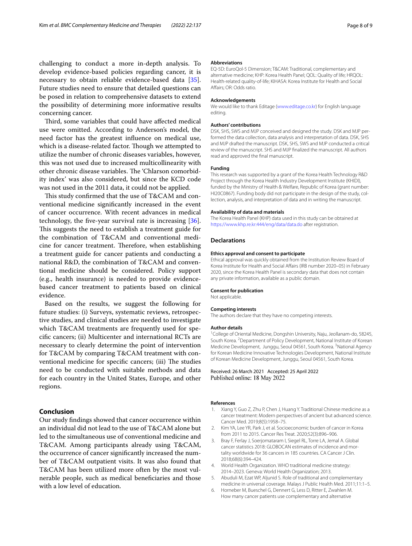challenging to conduct a more in-depth analysis. To develop evidence-based policies regarding cancer, it is necessary to obtain reliable evidence-based data [\[35](#page-8-28)]. Future studies need to ensure that detailed questions can be posed in relation to comprehensive datasets to extend the possibility of determining more informative results concerning cancer.

Third, some variables that could have affected medical use were omitted. According to Anderson's model, the need factor has the greatest infuence on medical use, which is a disease-related factor. Though we attempted to utilize the number of chronic diseases variables, however, this was not used due to increased multicollinearity with other chronic disease variables. The 'Chlarson comorbidity index' was also considered, but since the KCD code was not used in the 2011 data, it could not be applied.

This study confirmed that the use of T&CAM and conventional medicine signifcantly increased in the event of cancer occurrence. With recent advances in medical technology, the fve-year survival rate is increasing [\[36](#page-8-29)]. This suggests the need to establish a treatment guide for the combination of T&CAM and conventional medicine for cancer treatment. Therefore, when establishing a treatment guide for cancer patients and conducting a national R&D, the combination of T&CAM and conventional medicine should be considered. Policy support (e.g., health insurance) is needed to provide evidencebased cancer treatment to patients based on clinical evidence.

Based on the results, we suggest the following for future studies: (i) Surveys, systematic reviews, retrospective studies, and clinical studies are needed to investigate which T&CAM treatments are frequently used for specifc cancers; (ii) Multicenter and international RCTs are necessary to clearly determine the point of intervention for T&CAM by comparing T&CAM treatment with conventional medicine for specific cancers; (iii) The studies need to be conducted with suitable methods and data for each country in the United States, Europe, and other regions.

# **Conclusion**

Our study fndings showed that cancer occurrence within an individual did not lead to the use of T&CAM alone but led to the simultaneous use of conventional medicine and T&CAM. Among participants already using T&CAM, the occurrence of cancer signifcantly increased the number of T&CAM outpatient visits. It was also found that T&CAM has been utilized more often by the most vulnerable people, such as medical benefciaries and those with a low level of education.

## **Abbreviations**

EQ-5D: EuroQol-5 Dimension; T&CAM: Traditional, complementary and alternative medicine; KHP: Korea Health Panel; QOL: Quality of life; HRQOL: Health-related quality-of-life; KIHASA: Korea Institute for Health and Social Afairs; OR: Odds ratio.

#### **Acknowledgements**

We would like to thank Editage ([www.editage.co.kr](http://www.editage.co.kr)) for English language editing.

#### **Authors' contributions**

DSK, SHS, SWS and MJP conceived and designed the study. DSK and MJP performed the data collection, data analysis and interpretation of data. DSK, SHS and MJP drafted the manuscript. DSK, SHS, SWS and MJP conducted a critical review of the manuscript. SHS and MJP fnalized the manuscript. All authors read and approved the fnal manuscript.

## **Funding**

This research was supported by a grant of the Korea Health Technology R&D Project through the Korea Health Industry Development Institute (KHIDI), funded by the Ministry of Health & Welfare, Republic of Korea (grant number: HI20C0867). Funding body did not participate in the design of the study, collection, analysis, and interpretation of data and in writing the manuscript.

#### **Availability of data and materials**

The Korea Health Panel (KHP) data used in this study can be obtained at <https://www.khp.re.kr:444/eng/data/data.do> after registration.

## **Declarations**

#### **Ethics approval and consent to participate**

Ethical approval was quickly obtained from the Institution Review Board of Korea Institute for Health and Social Afairs (IRB number 2020–05) in February 2020, since the Korea Health Panel is secondary data that does not contain any private information, available as a public domain.

## **Consent for publication**

Not applicable.

## **Competing interests**

The authors declare that they have no competing interests.

#### **Author details**

<sup>1</sup> College of Oriental Medicine, Dongshin University, Naju, Jeollanam-do, 58245, South Korea. <sup>2</sup> Department of Policy Development, National Institute of Korean Medicine Development, Junggu, Seoul 04561, South Korea. <sup>3</sup>National Agency for Korean Medicine Innovative Technologies Development, National Institute of Korean Medicine Development, Junggu, Seoul 04561, South Korea.

Received: 26 March 2021 Accepted: 25 April 2022 Published online: 18 May 2022

#### **References**

- <span id="page-7-0"></span>1. Xiang Y, Guo Z, Zhu P, Chen J, Huang Y. Traditional Chinese medicine as a cancer treatment: Modern perspectives of ancient but advanced science. Cancer Med. 2019;8(5):1958–75.
- <span id="page-7-1"></span>2. Kim YA, Lee YR, Park J, et al. Socioeconomic burden of cancer in Korea from 2011 to 2015. Cancer Res Treat. 2020;52(3):896–906.
- <span id="page-7-2"></span>3. Bray F, Ferlay J, Soerjomataram I, Siegel RL, Torre LA, Jemal A. Global cancer statistics 2018: GLOBOCAN estimates of incidence and mortality worldwide for 36 cancers in 185 countries. CA Cancer J Clin. 2018;68(6):394–424.
- 4. World Health Organization. WHO traditional medicine strategy: 2014–2023. Geneva: World Health Organization; 2013.
- <span id="page-7-3"></span>5. Abuduli M, Ezat WP, Aljunid S. Role of traditional and complementary medicine in universal coverage. Malays J Public Health Med. 2011;11:1–5.
- <span id="page-7-4"></span>6. Horneber M, Bueschel G, Dennert G, Less D, Ritter E, Zwahlen M. How many cancer patients use complementary and alternative